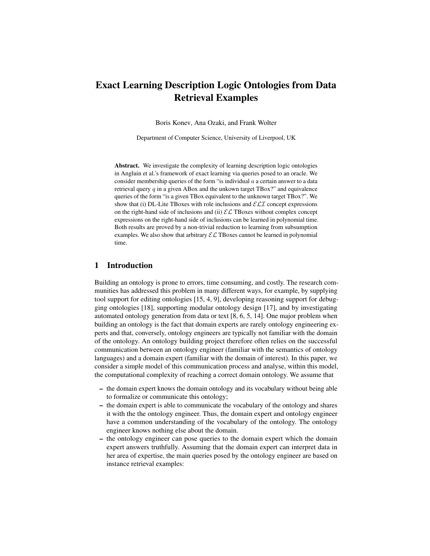# Exact Learning Description Logic Ontologies from Data Retrieval Examples

Boris Konev, Ana Ozaki, and Frank Wolter

Department of Computer Science, University of Liverpool, UK

Abstract. We investigate the complexity of learning description logic ontologies in Angluin et al.'s framework of exact learning via queries posed to an oracle. We consider membership queries of the form "is individual  $a$  a certain answer to a data retrieval query  $q$  in a given ABox and the unkown target TBox?" and equivalence queries of the form "is a given TBox equivalent to the unknown target TBox?". We show that (i) DL-Lite TBoxes with role inclusions and  $\mathcal{ELI}$  concept expressions on the right-hand side of inclusions and (ii)  $\mathcal{EL}$  TBoxes without complex concept expressions on the right-hand side of inclusions can be learned in polynomial time. Both results are proved by a non-trivial reduction to learning from subsumption examples. We also show that arbitrary  $\mathcal{EL}$  TBoxes cannot be learned in polynomial time.

## 1 Introduction

Building an ontology is prone to errors, time consuming, and costly. The research communities has addressed this problem in many different ways, for example, by supplying tool support for editing ontologies [15, 4, 9], developing reasoning support for debugging ontologies [18], supporting modular ontology design [17], and by investigating automated ontology generation from data or text [8, 6, 5, 14]. One major problem when building an ontology is the fact that domain experts are rarely ontology engineering experts and that, conversely, ontology engineers are typically not familiar with the domain of the ontology. An ontology building project therefore often relies on the successful communication between an ontology engineer (familiar with the semantics of ontology languages) and a domain expert (familiar with the domain of interest). In this paper, we consider a simple model of this communication process and analyse, within this model, the computational complexity of reaching a correct domain ontology. We assume that

- the domain expert knows the domain ontology and its vocabulary without being able to formalize or communicate this ontology;
- the domain expert is able to communicate the vocabulary of the ontology and shares it with the the ontology engineer. Thus, the domain expert and ontology engineer have a common understanding of the vocabulary of the ontology. The ontology engineer knows nothing else about the domain.
- the ontology engineer can pose queries to the domain expert which the domain expert answers truthfully. Assuming that the domain expert can interpret data in her area of expertise, the main queries posed by the ontology engineer are based on instance retrieval examples: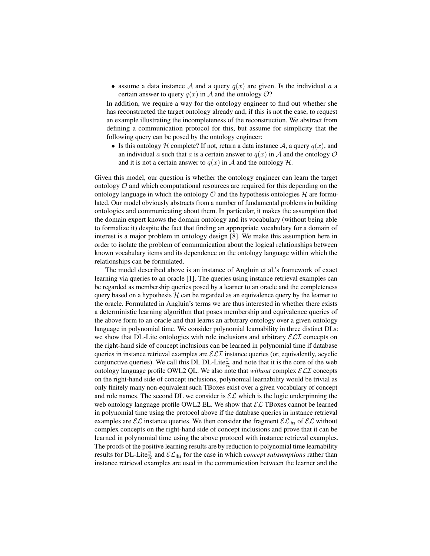• assume a data instance A and a query  $q(x)$  are given. Is the individual a a certain answer to query  $q(x)$  in A and the ontology O?

In addition, we require a way for the ontology engineer to find out whether she has reconstructed the target ontology already and, if this is not the case, to request an example illustrating the incompleteness of the reconstruction. We abstract from defining a communication protocol for this, but assume for simplicity that the following query can be posed by the ontology engineer:

• Is this ontology H complete? If not, return a data instance A, a query  $q(x)$ , and an individual a such that a is a certain answer to  $q(x)$  in A and the ontology O and it is not a certain answer to  $q(x)$  in A and the ontology  $H$ .

Given this model, our question is whether the ontology engineer can learn the target ontology  $\mathcal O$  and which computational resources are required for this depending on the ontology language in which the ontology  $\mathcal O$  and the hypothesis ontologies  $\mathcal H$  are formulated. Our model obviously abstracts from a number of fundamental problems in building ontologies and communicating about them. In particular, it makes the assumption that the domain expert knows the domain ontology and its vocabulary (without being able to formalize it) despite the fact that finding an appropriate vocabulary for a domain of interest is a major problem in ontology design [8]. We make this assumption here in order to isolate the problem of communication about the logical relationships between known vocabulary items and its dependence on the ontology language within which the relationships can be formulated.

The model described above is an instance of Angluin et al.'s framework of exact learning via queries to an oracle [1]. The queries using instance retrieval examples can be regarded as membership queries posed by a learner to an oracle and the completeness query based on a hypothesis  $H$  can be regarded as an equivalence query by the learner to the oracle. Formulated in Angluin's terms we are thus interested in whether there exists a deterministic learning algorithm that poses membership and equivalence queries of the above form to an oracle and that learns an arbitrary ontology over a given ontology language in polynomial time. We consider polynomial learnability in three distinct DLs: we show that DL-Lite ontologies with role inclusions and arbitrary  $\mathcal{ELI}$  concepts on the right-hand side of concept inclusions can be learned in polynomial time if database queries in instance retrieval examples are  $\mathcal{ELI}$  instance queries (or, equivalently, acyclic conjunctive queries). We call this DL DL-Lite $\frac{a}{\mathcal{R}}$  and note that it is the core of the web ontology language profile OWL2 QL. We also note that *without* complex ELI concepts on the right-hand side of concept inclusions, polynomial learnability would be trivial as only finitely many non-equivalent such TBoxes exist over a given vocabulary of concept and role names. The second DL we consider is  $\mathcal{EL}$  which is the logic underpinning the web ontology language profile OWL2 EL. We show that  $\mathcal{EL}$  TBoxes cannot be learned in polynomial time using the protocol above if the database queries in instance retrieval examples are  $\mathcal{EL}$  instance queries. We then consider the fragment  $\mathcal{EL}_{\text{lhs}}$  of  $\mathcal{EL}$  without complex concepts on the right-hand side of concept inclusions and prove that it can be learned in polynomial time using the above protocol with instance retrieval examples. The proofs of the positive learning results are by reduction to polynomial time learnability results for DL-Lite<sup> $\exists$ </sup> and  $\mathcal{EL}_{\text{ths}}$  for the case in which *concept subsumptions* rather than instance retrieval examples are used in the communication between the learner and the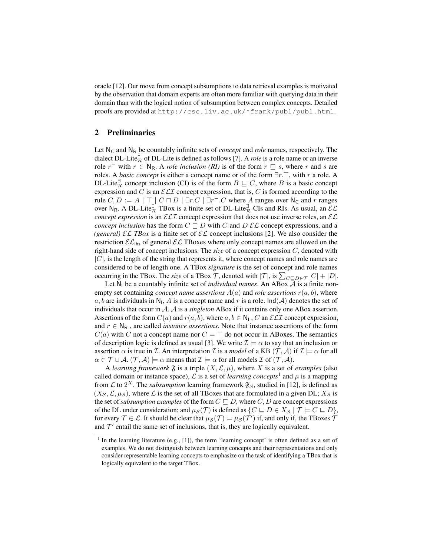oracle [12]. Our move from concept subsumptions to data retrieval examples is motivated by the observation that domain experts are often more familiar with querying data in their domain than with the logical notion of subsumption between complex concepts. Detailed proofs are provided at http://csc.liv.ac.uk/˜frank/publ/publ.html.

# 2 Preliminaries

Let  $N_c$  and  $N_R$  be countably infinite sets of *concept* and *role* names, respectively. The dialect DL-Lite<sup> $\frac{3}{R}$ </sup> of DL-Lite is defined as follows [7]. A *role* is a role name or an inverse role  $r^-$  with  $r \in N_R$ . A *role inclusion (RI)* is of the form  $r \subseteq s$ , where r and s are roles. A *basic concept* is either a concept name or of the form  $\exists r.\top$ , with r a role. A DL-Lite<sup> $\frac{1}{R}$ </sup> concept inclusion (CI) is of the form  $B \sqsubseteq C$ , where B is a basic concept expression and C is an  $\mathcal{ELI}$  concept expression, that is, C is formed according to the rule  $C, D := A | \top | C \sqcap D | \exists r.C | \exists r^- . C$  where A ranges over N<sub>C</sub> and r ranges over N<sub>R</sub>. A DL-Lite $\frac{1}{\mathcal{R}}$  TBox is a finite set of DL-Lite $\frac{1}{\mathcal{R}}$  CIs and RIs. As usual, an  $\mathcal{EL}$ *concept expression* is an  $\mathcal{ELI}$  concept expression that does not use inverse roles, an  $\mathcal{EL}$ *concept inclusion* has the form  $C \sqsubseteq D$  with C and D  $\mathcal{EL}$  concept expressions, and a *(general)*  $\mathcal{EL}$  *TBox* is a finite set of  $\mathcal{EL}$  concept inclusions [2]. We also consider the restriction  $\mathcal{EL}_{\text{ths}}$  of general  $\mathcal{EL}$  TBoxes where only concept names are allowed on the right-hand side of concept inclusions. The *size* of a concept expression C, denoted with  $|C|$ , is the length of the string that represents it, where concept names and role names are considered to be of length one. A TBox *signature* is the set of concept and role names occurring in the TBox. The *size* of a TBox  $\mathcal{T}$ , denoted with  $|\mathcal{T}|$ , is  $\sum_{C \sqsubseteq D \in \mathcal{T}} |C| + |D|$ .

Let  $N_1$  be a countably infinite set of *individual names*. An ABox  $\overline{A}$  is a finite nonempty set containing *concept name assertions*  $A(a)$  and *role assertions*  $r(a, b)$ , where a, b are individuals in  $N_1$ , A is a concept name and r is a role. Ind(A) denotes the set of individuals that occur in A. A is a *singleton* ABox if it contains only one ABox assertion. Assertions of the form  $C(a)$  and  $r(a, b)$ , where  $a, b \in \mathbb{N}_1$ ,  $C$  an  $\mathcal{ELI}$  concept expression, and  $r \in N_R$ , are called *instance assertions*. Note that instance assertions of the form  $C(a)$  with C not a concept name nor  $C = \top$  do not occur in ABoxes. The semantics of description logic is defined as usual [3]. We write  $\mathcal{I} \models \alpha$  to say that an inclusion or assertion  $\alpha$  is true in *I*. An interpretation *I* is a *model* of a KB  $(\mathcal{T}, \mathcal{A})$  if  $\mathcal{I} \models \alpha$  for all  $\alpha \in \mathcal{T} \cup \mathcal{A}.$   $(\mathcal{T}, \mathcal{A}) \models \alpha$  means that  $\mathcal{I} \models \alpha$  for all models  $\mathcal{I}$  of  $(\mathcal{T}, \mathcal{A}).$ 

A *learning framework*  $\mathfrak F$  is a triple  $(X, \mathcal L, \mu)$ , where X is a set of *examples* (also called domain or instance space),  $\mathcal L$  is a set of *learning concepts*<sup>1</sup> and  $\mu$  is a mapping from  $\mathcal L$  to  $2^X$ . The *subsumption* learning framework  $\mathfrak{F}_{\mathcal S}$ , studied in [12], is defined as  $(X_{\mathcal{S}}, \mathcal{L}, \mu_{\mathcal{S}})$ , where  $\mathcal{L}$  is the set of all TBoxes that are formulated in a given DL;  $X_{\mathcal{S}}$  is the set of *subsumption examples* of the form  $C \sqsubseteq D$ , where  $C, D$  are concept expressions of the DL under consideration; and  $\mu_{\mathcal{S}}(\mathcal{T})$  is defined as  $\{C \sqsubseteq D \in X_{\mathcal{S}} | \mathcal{T} \models C \sqsubseteq D\}$ , for every  $\mathcal{T} \in \mathcal{L}$ . It should be clear that  $\mu_{\mathcal{S}}(\mathcal{T}) = \mu_{\mathcal{S}}(\mathcal{T}')$  if, and only if, the TBoxes  $\mathcal{T}'$ and  $\mathcal{T}'$  entail the same set of inclusions, that is, they are logically equivalent.

<sup>&</sup>lt;sup>1</sup> In the learning literature (e.g.,  $[1]$ ), the term 'learning concept' is often defined as a set of examples. We do not distinguish between learning concepts and their representations and only consider representable learning concepts to emphasize on the task of identifying a TBox that is logically equivalent to the target TBox.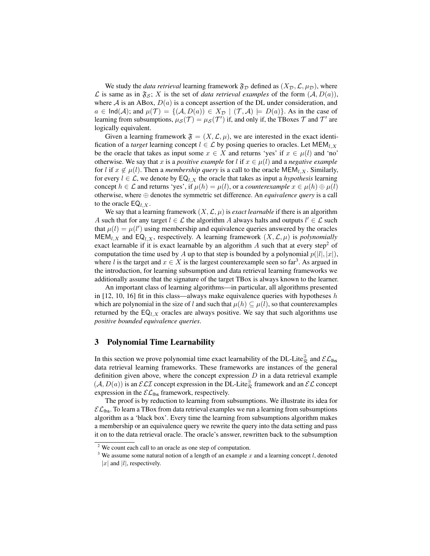We study the *data retrieval* learning framework  $\mathfrak{F}_D$  defined as  $(X_D, \mathcal{L}, \mu_D)$ , where L is same as in  $\mathfrak{F}_{\mathcal{S}}$ ; X is the set of *data retrieval examples* of the form  $(A, D(a))$ , where  $A$  is an ABox,  $D(a)$  is a concept assertion of the DL under consideration, and  $a \in \text{Ind}(\mathcal{A})$ ; and  $\mu(\mathcal{T}) = \{(\mathcal{A}, D(a)) \in X_{\mathcal{D}} \mid (\mathcal{T}, \mathcal{A}) \models D(a)\}.$  As in the case of learning from subsumptions,  $\mu_{\mathcal{S}}(\mathcal{T}) = \mu_{\mathcal{S}}(\mathcal{T}')$  if, and only if, the TBoxes  $\mathcal T$  and  $\mathcal T'$  are logically equivalent.

Given a learning framework  $\mathfrak{F} = (X, \mathcal{L}, \mu)$ , we are interested in the exact identification of a *target* learning concept  $l \in \mathcal{L}$  by posing queries to oracles. Let MEM<sub>l, X</sub> be the oracle that takes as input some  $x \in X$  and returns 'yes' if  $x \in \mu(l)$  and 'no' otherwise. We say that x is a *positive example* for l if  $x \in \mu(l)$  and a *negative example* for l if  $x \notin \mu(l)$ . Then a *membership query* is a call to the oracle MEM<sub>l,X</sub>. Similarly, for every  $l \in \mathcal{L}$ , we denote by  $EQ_{l,X}$  the oracle that takes as input a *hypothesis* learning concept  $h \in \mathcal{L}$  and returns 'yes', if  $\mu(h) = \mu(l)$ , or a *counterexample*  $x \in \mu(h) \oplus \mu(l)$ otherwise, where ⊕ denotes the symmetric set difference. An *equivalence query* is a call to the oracle  $EQ_{l,X}$ .

We say that a learning framework  $(X, \mathcal{L}, \mu)$  is *exact learnable* if there is an algorithm A such that for any target  $l \in \mathcal{L}$  the algorithm A always halts and outputs  $l' \in \mathcal{L}$  such that  $\mu(l) = \mu(l')$  using membership and equivalence queries answered by the oracles  $MEM_{l,X}$  and  $EQ_{l,X}$ , respectively. A learning framework  $(X, \mathcal{L}, \mu)$  is *polynomially* exact learnable if it is exact learnable by an algorithm  $A$  such that at every step<sup>2</sup> of computation the time used by A up to that step is bounded by a polynomial  $p(|l|, |x|)$ , where l is the target and  $x \in X$  is the largest counterexample seen so far<sup>3</sup>. As argued in the introduction, for learning subsumption and data retrieval learning frameworks we additionally assume that the signature of the target TBox is always known to the learner.

An important class of learning algorithms—in particular, all algorithms presented in [12, 10, 16] fit in this class—always make equivalence queries with hypotheses h which are polynomial in the size of l and such that  $\mu(h) \subseteq \mu(l)$ , so that counterexamples returned by the  $EQ_{l,X}$  oracles are always positive. We say that such algorithms use *positive bounded equivalence queries*.

#### 3 Polynomial Time Learnability

In this section we prove polynomial time exact learnability of the DL-Lite $\frac{a}{R}$  and  $\mathcal{EL}_{\mathsf{u} \mathsf{hs}}$ data retrieval learning frameworks. These frameworks are instances of the general definition given above, where the concept expression  $D$  in a data retrieval example  $(A, D(a))$  is an  $\mathcal{ELI}$  concept expression in the DL-Lite<sup> $\frac{3}{R}$ </sup> framework and an  $\mathcal{EL}$  concept expression in the  $\mathcal{EL}_{\mathsf{u} \mathsf{hs}}$  framework, respectively.

The proof is by reduction to learning from subsumptions. We illustrate its idea for  $\mathcal{EL}_{\mathsf{u} \mathsf{hs}}$ . To learn a TBox from data retrieval examples we run a learning from subsumptions algorithm as a 'black box'. Every time the learning from subsumptions algorithm makes a membership or an equivalence query we rewrite the query into the data setting and pass it on to the data retrieval oracle. The oracle's answer, rewritten back to the subsumption

<sup>&</sup>lt;sup>2</sup> We count each call to an oracle as one step of computation.

<sup>&</sup>lt;sup>3</sup> We assume some natural notion of a length of an example x and a learning concept  $l$ , denoted |x| and  $|l|$ , respectively.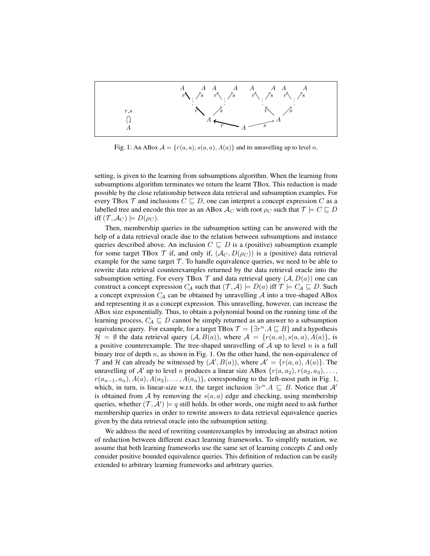

Fig. 1: An ABox  $A = \{r(a, a), s(a, a), A(a)\}\$ and its unravelling up to level n.

setting, is given to the learning from subsumptions algorithm. When the learning from subsumptions algorithm terminates we return the learnt TBox. This reduction is made possible by the close relationship between data retrieval and subsumption examples. For every TBox  $\mathcal T$  and inclusions  $C \sqsubseteq D$ , one can interpret a concept expression C as a labelled tree and encode this tree as an ABox  $\mathcal{A}_C$  with root  $\rho_C$  such that  $\mathcal{T} \models C \sqsubseteq D$ iff  $(\mathcal{T}, \mathcal{A}_{C}) \models D(\rho_{C}).$ 

Then, membership queries in the subsumption setting can be answered with the help of a data retrieval oracle due to the relation between subsumptions and instance queries described above. An inclusion  $C \subseteq D$  is a (positive) subsumption example for some target TBox  $\mathcal T$  if, and only if,  $(\mathcal A_C, D(\rho_C))$  is a (positive) data retrieval example for the same target  $\mathcal T$ . To handle equivalence queries, we need to be able to rewrite data retrieval counterexamples returned by the data retrieval oracle into the subsumption setting. For every TBox  $\mathcal T$  and data retrieval query  $(\mathcal A, D(a))$  one can construct a concept expression  $C_A$  such that  $(\mathcal{T}, \mathcal{A}) \models D(a)$  iff  $\mathcal{T} \models C_A \sqsubseteq D$ . Such a concept expression  $C_A$  can be obtained by unravelling  $A$  into a tree-shaped ABox and representing it as a concept expression. This unravelling, however, can increase the ABox size exponentially. Thus, to obtain a polynomial bound on the running time of the learning process,  $C_A \sqsubseteq D$  cannot be simply returned as an answer to a subsumption equivalence query. For example, for a target TBox  $\mathcal{T} = \{\exists r^n.A \sqsubseteq B\}$  and a hypothesis  $\mathcal{H} = \emptyset$  the data retrieval query  $(\mathcal{A}, B(a))$ , where  $\mathcal{A} = \{r(a, a), s(a, a), A(a)\}\$ , is a positive counterexample. The tree-shaped unravelling of  $A$  up to level n is a full binary tree of depth  $n$ , as shown in Fig. 1. On the other hand, the non-equivalence of  $\mathcal T$  and  $\mathcal H$  can already be witnessed by  $(\mathcal A', B(a))$ , where  $\mathcal A' = \{r(a, a), A(a)\}.$  The unravelling of A' up to level n produces a linear size ABox  $\{r(a, a_2), r(a_2, a_3), \ldots,$  $r(a_{n-1}, a_n)$ ,  $A(a)$ ,  $A(a_2)$ , ...,  $A(a_n)$ }, corresponding to the left-most path in Fig. 1, which, in turn, is linear-size w.r.t. the target inclusion  $\exists r^n.A \sqsubseteq B$ . Notice that A' is obtained from A by removing the  $s(a, a)$  edge and checking, using membership queries, whether  $(\mathcal{T}, \mathcal{A}') \models q$  still holds. In other words, one might need to ask further membership queries in order to rewrite answers to data retrieval equivalence queries given by the data retrieval oracle into the subsumption setting.

We address the need of rewriting counterexamples by introducing an abstract notion of reduction between different exact learning frameworks. To simplify notation, we assume that both learning frameworks use the same set of learning concepts  $\mathcal L$  and only consider positive bounded equivalence queries. This definition of reduction can be easily extended to arbitrary learning frameworks and arbitrary queries.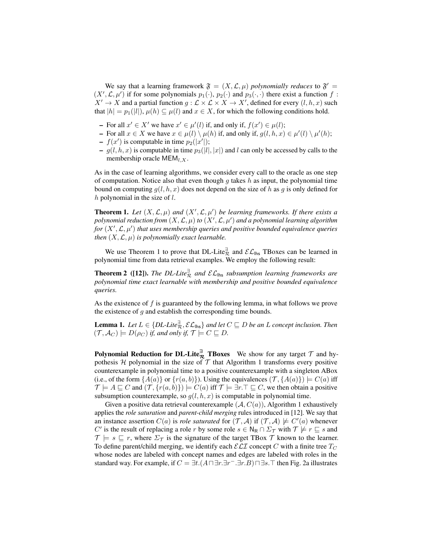We say that a learning framework  $\mathfrak{F} = (X, \mathcal{L}, \mu)$  *polynomially reduces* to  $\mathfrak{F}' =$  $(X', \mathcal{L}, \mu')$  if for some polynomials  $p_1(\cdot), p_2(\cdot)$  and  $p_3(\cdot, \cdot)$  there exist a function f:  $X' \to X$  and a partial function  $g : \mathcal{L} \times \mathcal{L} \times X \to X'$ , defined for every  $(l, h, x)$  such that  $|h| = p_1(|l|)$ ,  $\mu(h) \subseteq \mu(l)$  and  $x \in X$ , for which the following conditions hold.

- For all  $x' \in X'$  we have  $x' \in \mu'(l)$  if, and only if,  $f(x') \in \mu(l)$ ;
- $\text{I}$  For all  $x \in X$  we have  $x \in \mu(l) \setminus \mu(h)$  if, and only if,  $g(l, h, x) \in \mu'(l) \setminus \mu'(h)$ ;
- $-f(x')$  is computable in time  $p_2(|x'|);$
- $g(l, h, x)$  is computable in time  $p_3(|l|, |x|)$  and l can only be accessed by calls to the membership oracle  $MEM_{l,X}$ .

As in the case of learning algorithms, we consider every call to the oracle as one step of computation. Notice also that even though  $g$  takes  $h$  as input, the polynomial time bound on computing  $g(l, h, x)$  does not depend on the size of h as g is only defined for  $h$  polynomial in the size of  $l$ .

**Theorem 1.** Let  $(X, \mathcal{L}, \mu)$  and  $(X', \mathcal{L}, \mu')$  be learning frameworks. If there exists a polynomial reduction from  $(X, \mathcal{L}, \mu)$  to  $(X', \mathcal{L}, \mu')$  and a polynomial learning algorithm for  $(X', \mathcal{L}, \mu')$  that uses membership queries and positive bounded equivalence queries *then*  $(X, \mathcal{L}, \mu)$  *is polynomially exact learnable.* 

We use Theorem 1 to prove that DL-Lite<sup> $\frac{3}{2}$ </sup> and  $\mathcal{EL}_{\text{lhs}}$  TBoxes can be learned in polynomial time from data retrieval examples. We employ the following result:

**Theorem 2** ([12]). The DL-Lite $\frac{a}{R}$  and  $\mathcal{EL}_{\text{hbs}}$  subsumption learning frameworks are *polynomial time exact learnable with membership and positive bounded equivalence queries.*

As the existence of  $f$  is guaranteed by the following lemma, in what follows we prove the existence of  $q$  and establish the corresponding time bounds.

**Lemma 1.** Let  $L \in \{DL\text{-}Like_R^{\exists}, \mathcal{EL}_{\mathsf{hbs}}\}$  and let  $C \sqsubseteq D$  be an L concept inclusion. Then  $(T, \mathcal{A}_{C}) \models D(\rho_{C})$  *if, and only if,*  $\mathcal{T} \models C \sqsubseteq D$ *.* 

Polynomial Reduction for DL-Lite $\frac{a}{\mathcal{R}}$  TBoxes We show for any target  $\mathcal T$  and hypothesis  $H$  polynomial in the size of  $T$  that Algorithm 1 transforms every positive counterexample in polynomial time to a positive counterexample with a singleton ABox (i.e., of the form  $\{A(a)\}\$  or  $\{r(a, b)\}\)$ ). Using the equivalences  $(\mathcal{T}, \{A(a)\}) \models C(a)$  iff  $\mathcal{T} \models A \sqsubseteq C$  and  $(\mathcal{T}, \{r(a, b)\}) \models C(a)$  iff  $\mathcal{T} \models \exists r.\top \sqsubseteq C$ , we then obtain a positive subsumption counterexample, so  $q(l, h, x)$  is computable in polynomial time.

Given a positive data retrieval counterexample  $(A, C(a))$ , Algorithm 1 exhaustively applies the *role saturation* and *parent-child merging* rules introduced in [12]. We say that an instance assertion  $C(a)$  is *role saturated* for  $(\mathcal{T}, \mathcal{A})$  if  $(\mathcal{T}, \mathcal{A}) \not\models C'(a)$  whenever C' is the result of replacing a role r by some role  $s \in N_R \cap \Sigma_T$  with  $\mathcal{T} \not\models r \sqsubseteq s$  and  $\mathcal{T} \models s \sqsubseteq r$ , where  $\Sigma_{\mathcal{T}}$  is the signature of the target TBox  $\mathcal{T}$  known to the learner. To define parent/child merging, we identify each  $\mathcal{ELI}$  concept C with a finite tree  $T_C$ whose nodes are labeled with concept names and edges are labeled with roles in the standard way. For example, if  $C = \exists t. (A \sqcap \exists r. \exists r. \exists r. B) \sqcap \exists s. \top$  then Fig. 2a illustrates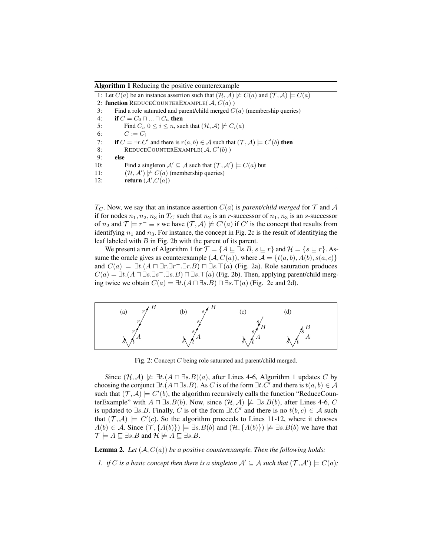Algorithm 1 Reducing the positive counterexample

1: Let  $C(a)$  be an instance assertion such that  $(\mathcal{H}, \mathcal{A}) \not\models C(a)$  and  $(\mathcal{T}, \mathcal{A}) \models C(a)$ 2: function REDUCECOUNTEREXAMPLE( $\mathcal{A}, C(a)$ ) 3: Find a role saturated and parent/child merged  $C(a)$  (membership queries) 4: **if**  $C = C_0 \sqcap ... \sqcap C_n$  then 5: Find  $C_i$ ,  $0 \le i \le n$ , such that  $(\mathcal{H}, \mathcal{A}) \not\models C_i(a)$ 6:  $C := C_i$ 7: if  $C = \exists r.C'$  and there is  $r(a, b) \in A$  such that  $(\mathcal{T}, A) \models C'(b)$  then 8: REDUCECOUNTEREXAMPLE( $A, C'(b)$ ) 9: else 10: Find a singleton  $\mathcal{A}' \subseteq \mathcal{A}$  such that  $(\mathcal{T}, \mathcal{A}') \models C(a)$  but 11:  $(\mathcal{H}, \mathcal{A}') \not\models C(a)$  (membership queries) 12: **return**  $(A', C(a))$ 

 $T_C$ . Now, we say that an instance assertion  $C(a)$  is *parent/child merged* for  $\mathcal T$  and  $\mathcal A$ if for nodes  $n_1, n_2, n_3$  in  $T_C$  such that  $n_2$  is an r-successor of  $n_1, n_3$  is an s-successor of  $n_2$  and  $\mathcal{T} \models r^- \equiv s$  we have  $(\mathcal{T}, \mathcal{A}) \not\models C'(a)$  if  $C'$  is the concept that results from identifying  $n_1$  and  $n_3$ . For instance, the concept in Fig. 2c is the result of identifying the leaf labeled with  $B$  in Fig. 2b with the parent of its parent.

We present a run of Algorithm 1 for  $\mathcal{T} = \{A \sqsubseteq \exists s.B, s \sqsubseteq r\}$  and  $\mathcal{H} = \{s \sqsubseteq r\}$ . Assume the oracle gives as counterexample  $(A, C(a))$ , where  $A = \{t(a, b), A(b), s(a, c)\}\$ and  $C(a) = \exists t. (A \sqcap \exists r. \exists r. \exists r. B) \sqcap \exists s. \top(a)$  (Fig. 2a). Role saturation produces  $C(a) = \exists t. (A \sqcap \exists s. \exists s^- . \exists s. B) \sqcap \exists s. \top(a)$  (Fig. 2b). Then, applying parent/child merging twice we obtain  $C(a) = \exists t. (A \sqcap \exists s.B) \sqcap \exists s. \top(a)$  (Fig. 2c and 2d).



Fig. 2: Concept C being role saturated and parent/child merged.

Since  $(\mathcal{H}, \mathcal{A}) \not\models \exists t. (A \sqcap \exists s.B)(a)$ , after Lines 4-6, Algorithm 1 updates C by choosing the conjunct  $\exists t. (A \sqcap \exists s. B)$ . As C is of the form  $\exists t. C'$  and there is  $t(a, b) \in A$ such that  $(\mathcal{T}, \mathcal{A}) \models C'(b)$ , the algorithm recursively calls the function "ReduceCounterExample" with  $A \sqcap \exists s.B(b)$ . Now, since  $(\mathcal{H}, \mathcal{A}) \not\models \exists s.B(b)$ , after Lines 4-6, C is updated to  $\exists s.B.$  Finally, C is of the form  $\exists t.C'$  and there is no  $t(b, c) \in A$  such that  $(\mathcal{T}, \mathcal{A}) \models C'(c)$ . So the algorithm proceeds to Lines 11-12, where it chooses  $A(b) \in \mathcal{A}$ . Since  $(\mathcal{T}, \{A(b)\}) \models \exists s.B(b)$  and  $(\mathcal{H}, \{A(b)\}) \not\models \exists s.B(b)$  we have that  $\mathcal{T} \models A \sqsubseteq \exists s.B$  and  $\mathcal{H} \not\models A \sqsubseteq \exists s.B.$ 

**Lemma 2.** Let  $(A, C(a))$  be a positive counterexample. Then the following holds:

*1. if* C is a basic concept then there is a singleton  $\mathcal{A}' \subseteq \mathcal{A}$  such that  $(\mathcal{T}, \mathcal{A}') \models C(a)$ ;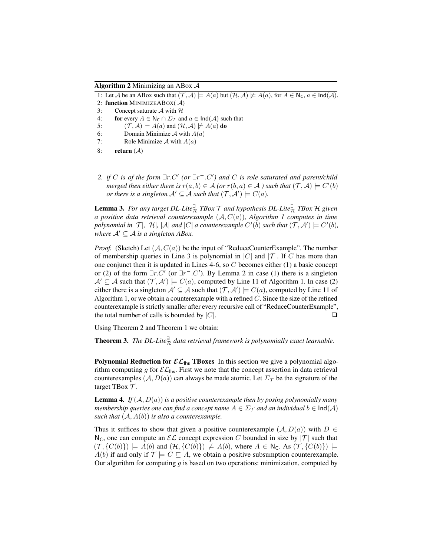Algorithm 2 Minimizing an ABox  $\mathcal A$ 

1: Let A be an ABox such that  $(\mathcal{T}, \mathcal{A}) \models A(a)$  but  $(\mathcal{H}, \mathcal{A}) \not\models A(a)$ , for  $A \in N_{\mathsf{C}}, a \in \mathsf{Ind}(\mathcal{A})$ . 2: function MINIMIZEABOX( A) 3: Concept saturate  $A$  with  $H$ 4: for every  $A \in N_c \cap \Sigma_{\mathcal{T}}$  and  $a \in \text{Ind}(\mathcal{A})$  such that 5:  $(\mathcal{T}, \mathcal{A}) \models A(a)$  and  $(\mathcal{H}, \mathcal{A}) \not\models A(a)$  do 6: Domain Minimize  $A$  with  $A(a)$ 7: Role Minimize  $A$  with  $A(a)$ 8: return  $(A)$ 

*2. if* C *is of the form*  $\exists r$ . C' (or  $\exists r$ <sup>-</sup>. C') and C *is role saturated and parent/child merged then either there is*  $r(a, b) \in A$  *(or*  $r(b, a) \in A$  *) such that*  $(\mathcal{T}, A) \models C'(b)$ *or there is a singleton*  $\mathcal{A}' \subseteq \mathcal{A}$  *such that*  $(\mathcal{T}, \mathcal{A}') \models C(a)$ *.* 

Lemma 3. *For any target DL-Lite*<sup>∃</sup> <sup>R</sup> *TBox* T *and hypothesis DL-Lite*<sup>∃</sup> <sup>R</sup> *TBox* H *given a positive data retrieval counterexample* (A, C(a))*, Algorithm 1 computes in time* polynomial in  $|\mathcal{T}|$ ,  $|\mathcal{H}|$ ,  $|\mathcal{A}|$  and  $|C|$  a counterexample  $C'(b)$  such that  $(\mathcal{T}, \mathcal{A}') \models C'(b)$ , *where*  $A' \subseteq A$  *is a singleton ABox.* 

*Proof.* (Sketch) Let  $(A, C(a))$  be the input of "ReduceCounterExample". The number of membership queries in Line 3 is polynomial in  $|C|$  and  $|T|$ . If C has more than one conjunct then it is updated in Lines 4-6, so  $C$  becomes either (1) a basic concept or (2) of the form  $\exists r.C'$  (or  $\exists r^- . C'$ ). By Lemma 2 in case (1) there is a singleton  $\mathcal{A}' \subseteq \mathcal{A}$  such that  $(\mathcal{T}, \mathcal{A}') \models C(a)$ , computed by Line 11 of Algorithm 1. In case (2) either there is a singleton  $A' \subseteq A$  such that  $(\mathcal{T}, A') \models C(a)$ , computed by Line 11 of Algorithm 1, or we obtain a counterexample with a refined  $C$ . Since the size of the refined counterexample is strictly smaller after every recursive call of "ReduceCounterExample", the total number of calls is bounded by  $|C|$ .

Using Theorem 2 and Theorem 1 we obtain:

**Theorem 3.** The DL-Lite $\frac{a}{\mathcal{R}}$  data retrieval framework is polynomially exact learnable.

**Polynomial Reduction for**  $\mathcal{EL}_{\mathsf{u}^{\mathsf{h}}}$  **TBoxes** In this section we give a polynomial algorithm computing g for  $\mathcal{EL}_{\mathsf{hbs}}$ . First we note that the concept assertion in data retrieval counterexamples  $(A, D(a))$  can always be made atomic. Let  $\Sigma_{\mathcal{T}}$  be the signature of the target TBox  $\mathcal{T}$ .

**Lemma 4.** *If*  $(A, D(a))$  *is a positive counterexample then by posing polynomially many membership queries one can find a concept name*  $A \in \Sigma_{\mathcal{T}}$  *and an individual*  $b \in \text{Ind}(\mathcal{A})$ *such that*  $(A, A(b))$  *is also a counterexample.* 

Thus it suffices to show that given a positive counterexample  $(A, D(a))$  with  $D \in$  $N_c$ , one can compute an  $\mathcal{EL}$  concept expression C bounded in size by  $|\mathcal{T}|$  such that  $(\mathcal{T}, \{C(b)\}) \models A(b)$  and  $(\mathcal{H}, \{C(b)\}) \not\models A(b)$ , where  $A \in \mathbb{N}_{\mathsf{C}}$ . As  $(\mathcal{T}, \{C(b)\}) \models$  $A(b)$  if and only if  $\mathcal{T} \models C \sqsubseteq A$ , we obtain a positive subsumption counterexample. Our algorithm for computing  $g$  is based on two operations: minimization, computed by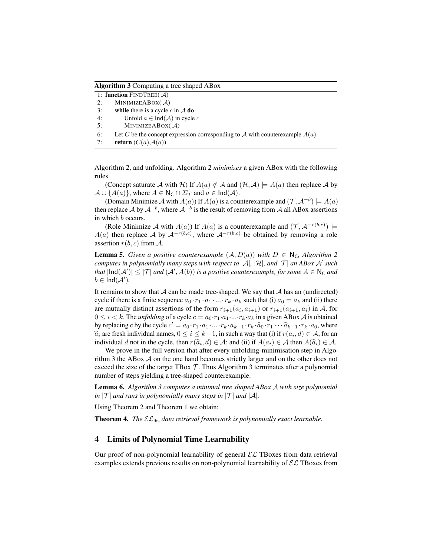Algorithm 3 Computing a tree shaped ABox

1: function FINDTREE( A) 2: MINIMIZEABOX( A) 3: while there is a cycle  $c$  in  $\mathcal A$  do 4: Unfold  $a \in \text{Ind}(\mathcal{A})$  in cycle c 5: MINIMIZEABOX $(A)$ 6: Let C be the concept expression corresponding to A with counterexample  $A(a)$ . 7: return  $(C(a), A(a))$ 

Algorithm 2, and unfolding. Algorithm 2 *minimizes* a given ABox with the following rules.

(Concept saturate A with H) If  $A(a) \notin A$  and  $(\mathcal{H}, \mathcal{A}) \models A(a)$  then replace A by  $\mathcal{A} \cup \{A(a)\}\$ , where  $A \in N_{\mathsf{C}} \cap \Sigma_{\mathcal{T}}$  and  $a \in \mathsf{Ind}(\mathcal{A})$ .

(Domain Minimize A with  $A(a)$ ) If  $A(a)$  is a counterexample and  $(\mathcal{T}, \mathcal{A}^{-b}) \models A(a)$ then replace A by  $A^{-b}$ , where  $A^{-b}$  is the result of removing from A all ABox assertions in which b occurs.

(Role Minimize A with  $A(a)$ ) If  $A(a)$  is a counterexample and  $(\mathcal{T}, \mathcal{A}^{-r(b,c)})$   $\models$  $A(a)$  then replace A by  $A^{-r(b,c)}$ , where  $A^{-r(b,c)}$  be obtained by removing a role assertion  $r(b, c)$  from A.

**Lemma 5.** *Given a positive counterexample*  $(A, D(a))$  *with*  $D \in \mathbb{N}_C$ *, Algorithm 2 computes in polynomially many steps with respect to*  $|\mathcal{A}|$ *,*  $|\mathcal{H}|$ *, and*  $|\mathcal{T}|$  *an ABox A' such* that  $|\text{Ind}(A')| \leq |\mathcal{T}|$  and  $(A', A(b))$  is a positive counterexample, for some  $A \in \mathsf{N}_\mathsf{C}$  and  $b \in \mathsf{Ind}(\mathcal{A}').$ 

It remains to show that  $A$  can be made tree-shaped. We say that  $A$  has an (undirected) cycle if there is a finite sequence  $a_0 \cdot r_1 \cdot a_1 \cdot ... \cdot r_k \cdot a_k$  such that (i)  $a_0 = a_k$  and (ii) there are mutually distinct assertions of the form  $r_{i+1}(a_i, a_{i+1})$  or  $r_{i+1}(a_{i+1}, a_i)$  in A, for  $0 \leq i < k$ . The *unfolding* of a cycle  $c = a_0 \cdot r_1 \cdot a_1 \cdot \ldots \cdot r_k \cdot a_k$  in a given ABox A is obtained by replacing c by the cycle  $c' = a_0 \cdot r_1 \cdot a_1 \cdot ... \cdot r_k \cdot a_{k-1} \cdot r_k \cdot \hat{a}_0 \cdot r_1 \cdot ... \cdot \hat{a}_{k-1} \cdot r_k \cdot a_0$ , where  $\hat{a}_i$  are fresh individual names,  $0 \le i \le k-1$ , in such a way that (i) if  $r(a_i, d) \in A$ , for an individual d not in the cycle, then  $r(\hat{a}, d) \in A$ ; and (ii) if  $A(a_i) \in A$  then  $A(\hat{a}_i) \in A$ individual d not in the cycle, then  $r(\hat{a}_i, d) \in A$ ; and (ii) if  $A(a_i) \in A$  then  $A(\hat{a}_i) \in A$ .<br>We prove in the full version that ofter every unfolding minimization step in Algo

We prove in the full version that after every unfolding-minimisation step in Algorithm 3 the ABox A on the one hand becomes strictly larger and on the other does not exceed the size of the target TBox  $\mathcal T$ . Thus Algorithm 3 terminates after a polynomial number of steps yielding a tree-shaped counterexample.

Lemma 6. *Algorithm 3 computes a minimal tree shaped ABox* A *with size polynomial in*  $|T|$  *and runs in polynomially many steps in*  $|T|$  *and*  $|A|$ *.* 

Using Theorem 2 and Theorem 1 we obtain:

**Theorem 4.** *The*  $\mathcal{EL}_{\text{ths}}$  *data retrieval framework is polynomially exact learnable.* 

#### 4 Limits of Polynomial Time Learnability

Our proof of non-polynomial learnability of general  $\mathcal{EL}$  TBoxes from data retrieval examples extends previous results on non-polynomial learnability of  $\mathcal{EL}$  TBoxes from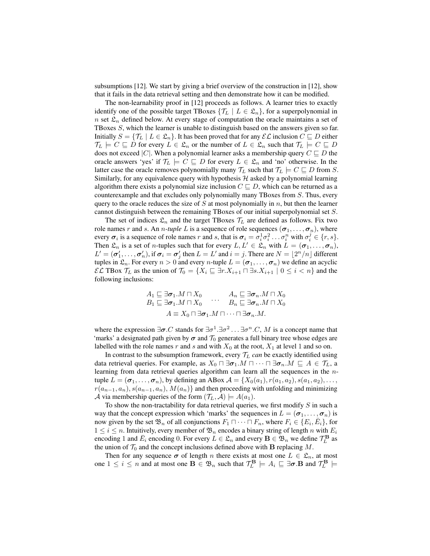subsumptions [12]. We start by giving a brief overview of the construction in [12], show that it fails in the data retrieval setting and then demonstrate how it can be modified.

The non-learnability proof in [12] proceeds as follows. A learner tries to exactly identify one of the possible target TBoxes  $\{\mathcal{T}_L \mid L \in \mathcal{L}_n\}$ , for a superpolynomial in n set  $\mathfrak{L}_n$  defined below. At every stage of computation the oracle maintains a set of TBoxes S, which the learner is unable to distinguish based on the answers given so far. Initially  $S = \{ \mathcal{T}_L \mid L \in \mathcal{L}_n \}$ . It has been proved that for any  $\mathcal{EL}$  inclusion  $C \sqsubseteq D$  either  $\mathcal{T}_L$   $\models C \sqsubseteq D$  for every  $L \in \mathfrak{L}_n$  or the number of  $L \in \mathfrak{L}_n$  such that  $\mathcal{T}_L \models C \sqsubseteq D$ does not exceed |C|. When a polynomial learner asks a membership query  $C \sqsubseteq D$  the oracle answers 'yes' if  $\mathcal{T}_L \models C \sqsubseteq D$  for every  $L \in \mathcal{L}_n$  and 'no' otherwise. In the latter case the oracle removes polynomially many  $\mathcal{T}_L$  such that  $\mathcal{T}_L \models C \sqsubseteq D$  from S. Similarly, for any equivalence query with hypothesis  $H$  asked by a polynomial learning algorithm there exists a polynomial size inclusion  $C \subseteq D$ , which can be returned as a counterexample and that excludes only polynomially many TBoxes from S. Thus, every query to the oracle reduces the size of  $S$  at most polynomially in  $n$ , but then the learner cannot distinguish between the remaining TBoxes of our initial superpolynomial set S.

The set of indices  $\mathfrak{L}_n$  and the target TBoxes  $\mathcal{T}_L$  are defined as follows. Fix two role names r and s. An *n*-tuple L is a sequence of role sequences  $(\sigma_1, \ldots, \sigma_n)$ , where every  $\sigma_i$  is a sequence of role names r and s, that is  $\sigma_i = \sigma_i^1 \sigma_i^2 \dots \sigma_i^n$  with  $\sigma_i^j \in \{r, s\}$ . Then  $\mathfrak{L}_n$  is a set of *n*-tuples such that for every  $L, L' \in \mathfrak{L}_n$  with  $L = (\sigma_1, \ldots, \sigma_n)$ ,  $L'=(\pmb{\sigma}_1',\ldots,\pmb{\sigma}_n'),$  if  $\pmb{\sigma}_i=\pmb{\sigma}_j'$  then  $L=L'$  and  $i=j.$  There are  $N=\lfloor 2^n/n\rfloor$  different tuples in  $\mathfrak{L}_n$ . For every  $n > 0$  and every n-tuple  $L = (\sigma_1, \ldots, \sigma_n)$  we define an acyclic  $\mathcal{EL}$  TBox  $\mathcal{T}_L$  as the union of  $\mathcal{T}_0 = \{X_i \sqsubseteq \exists r.X_{i+1} \sqcap \exists s.X_{i+1} \mid 0 \leq i < n\}$  and the following inclusions:

$$
A_1 \sqsubseteq \exists \sigma_1 . M \sqcap X_0 \qquad A_n \sqsubseteq \exists \sigma_n . M \sqcap X_0
$$
  
\n
$$
B_1 \sqsubseteq \exists \sigma_1 . M \sqcap X_0 \qquad \cdots \qquad B_n \sqsubseteq \exists \sigma_n . M \sqcap X_0
$$
  
\n
$$
A \equiv X_0 \sqcap \exists \sigma_1 . M \sqcap \cdots \sqcap \exists \sigma_n . M.
$$

where the expression  $\exists \sigma$ . C stands for  $\exists \sigma^1 \cdot \exists \sigma^2 \dots \exists \sigma^n \cdot C$ , M is a concept name that 'marks' a designated path given by  $\sigma$  and  $\mathcal{T}_0$  generates a full binary tree whose edges are labelled with the role names r and s and with  $X_0$  at the root,  $X_1$  at level 1 and so on.

In contrast to the subsumption framework, every  $T_L$  *can* be exactly identified using data retrieval queries. For example, as  $X_0 \sqcap \exists \sigma_1.M \sqcap \cdots \sqcap \exists \sigma_n.M \sqsubseteq A \in \mathcal{T}_L$ , a learning from data retrieval queries algorithm can learn all the sequences in the *n*tuple  $L = (\sigma_1, \ldots, \sigma_n)$ , by defining an ABox  $\mathcal{A} = \{X_0(a_1), r(a_1, a_2), s(a_1, a_2), \ldots, s(a_n, a_n)\}$  $r(a_{n-1}, a_n)$ ,  $s(a_{n-1}, a_n)$ ,  $M(a_n)$  and then proceeding with unfolding and minimizing A via membership queries of the form  $(\mathcal{T}_L, \mathcal{A}) \models A(a_1)$ .

To show the non-tractability for data retrieval queries, we first modify  $S$  in such a way that the concept expression which 'marks' the sequences in  $L = (\sigma_1, \ldots, \sigma_n)$  is now given by the set  $\mathfrak{B}_n$  of all conjunctions  $F_1 \sqcap \cdots \sqcap F_n$ , where  $F_i \in \{E_i, \overline{E}_i\}$ , for  $1 \leq i \leq n$ . Intuitively, every member of  $\mathfrak{B}_n$  encodes a binary string of length n with  $E_i$ encoding 1 and  $\bar{E}_i$  encoding 0. For every  $L \in \mathfrak{L}_n$  and every  $\mathbf{B} \in \mathfrak{B}_n$  we define  $\mathcal{T}_L^{\mathbf{B}}$  as the union of  $\mathcal{T}_0$  and the concept inclusions defined above with **B** replacing M.

Then for any sequence  $\sigma$  of length n there exists at most one  $L \in \mathcal{L}_n$ , at most one  $1 \le i \le n$  and at most one  $\mathbf{B} \in \mathfrak{B}_n$  such that  $\mathcal{T}_L^{\mathbf{B}} \models A_i \sqsubseteq \exists \sigma.\mathbf{B}$  and  $\mathcal{T}_L^{\mathbf{B}} \models$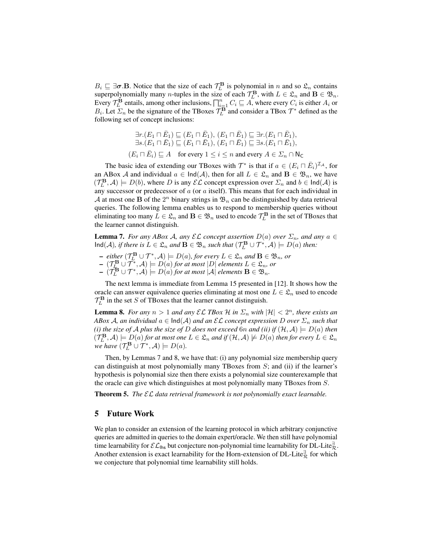$B_i \sqsubseteq \exists \sigma \cdot B$ . Notice that the size of each  $\mathcal{T}_L^B$  is polynomial in n and so  $\mathfrak{L}_n$  contains superpolynomially many *n*-tuples in the size of each  $\mathcal{T}_L^{\mathbf{B}}$ , with  $L \in \mathfrak{L}_n$  and  $\mathbf{B} \in \mathfrak{B}_n$ . Every  $\mathcal{T}_L^{\mathbf{B}}$  entails, among other inclusions,  $\prod_{i=1}^n C_i \sqsubseteq A$ , where every  $C_i$  is either  $A_i$  or  $B_i$ . Let  $\overline{\Sigma}_n$  be the signature of the TBoxes  $\overline{\mathcal{T}}_L^{\mathbf{B}}$  and consider a TBox  $\mathcal{T}^*$  defined as the following set of concept inclusions:

$$
\exists r. (E_1 \sqcap \bar{E}_1) \sqsubseteq (E_1 \sqcap \bar{E}_1), (E_1 \sqcap \bar{E}_1) \sqsubseteq \exists r. (E_1 \sqcap \bar{E}_1),
$$
  

$$
\exists s. (E_1 \sqcap \bar{E}_1) \sqsubseteq (E_1 \sqcap \bar{E}_1), (E_1 \sqcap \bar{E}_1) \sqsubseteq \exists s. (E_1 \sqcap \bar{E}_1),
$$
  

$$
(E_i \sqcap \bar{E}_i) \sqsubseteq A \text{ for every } 1 \le i \le n \text{ and every } A \in \Sigma_n \cap \mathsf{N}_{\mathsf{C}}
$$

The basic idea of extending our TBoxes with  $\mathcal{T}^*$  is that if  $a \in (E_i \cap \overline{E}_i)^{\mathcal{I}_A}$ , for an ABox A and individual  $a \in \text{Ind}(\mathcal{A})$ , then for all  $L \in \mathcal{L}_n$  and  $B \in \mathfrak{B}_n$ , we have  $(\mathcal{T}_L^{\mathbf{B}}, \mathcal{A}) \models D(b)$ , where D is any  $\mathcal{EL}$  concept expression over  $\Sigma_n$  and  $b \in \text{Ind}(\mathcal{A})$  is any successor or predecessor of  $a$  (or  $a$  itself). This means that for each individual in A at most one B of the  $2^n$  binary strings in  $\mathfrak{B}_n$  can be distinguished by data retrieval queries. The following lemma enables us to respond to membership queries without eliminating too many  $L \in \mathfrak{L}_n$  and  $\mathbf{B} \in \mathfrak{B}_n$  used to encode  $\mathcal{T}_L^{\mathbf{B}}$  in the set of TBoxes that the learner cannot distinguish.

**Lemma 7.** *For any ABox A, any*  $\mathcal{EL}$  *concept assertion*  $D(a)$  *over*  $\Sigma_n$ *, and any*  $a \in$  $\text{Ind}(\mathcal{A})$ *, if there is*  $L \in \mathfrak{L}_n$  *and*  $\mathbf{B} \in \mathfrak{B}_n$  *such that*  $(\mathcal{T}_L^{\mathbf{B}} \cup \mathcal{T}^*, \mathcal{A}) \models D(a)$  *then:* 

- $\mathbf{P} =$  *either* ( $\mathcal{T}_L^{\mathbf{B}} \cup \mathcal{T}^*, \mathcal{A}$ )  $\models D(a)$ *, for every*  $L \in \mathfrak{L}_n$  *and*  $\mathbf{B} \in \mathfrak{B}_n$ *, or*
- $(\mathcal{T}_{L_{\bullet}}^{\mathbf{B}} \cup \mathcal{T}^*, \mathcal{A}) \models D(a)$  for at most  $|D|$  elements  $L \in \mathfrak{L}_n$ , or
- $(\mathcal{T}_L^{\mathbf{B}} \cup \mathcal{T}^*, \mathcal{A}) \models D(a)$  *for at most*  $|\mathcal{A}|$  *elements*  $\mathbf{B} \in \mathfrak{B}_n$ *.*

The next lemma is immediate from Lemma 15 presented in [12]. It shows how the oracle can answer equivalence queries eliminating at most one  $L \in \mathfrak{L}_n$  used to encode  $\mathcal{T}_L^{\mathbf{B}}$  in the set S of TBoxes that the learner cannot distinguish.

**Lemma 8.** *For any*  $n > 1$  *and any*  $\mathcal{EL}$  *TBox*  $\mathcal{H}$  *in*  $\Sigma_n$  *with*  $|\mathcal{H}| < 2^n$ *, there exists an ABox A, an individual*  $a \in \text{Ind}(A)$  *and an*  $\mathcal{EL}$  *concept expression* D *over*  $\Sigma_n$  *such that (i) the size of A plus the size of D does not exceed* 6*n and (ii) if*  $(H, A) \models D(a)$  *then*  $(\mathcal{T}^\mathbf{B}_L, \mathcal{A}) \models D(a)$  for at most one  $L \in \mathfrak{L}_n$  and if  $(\mathcal{H}, \mathcal{A}) \not\models D(a)$  then for every  $L \in \mathfrak{L}_n$ *we have*  $(\mathcal{T}_L^{\mathbf{B}} \cup \mathcal{T}^*, \mathcal{A}) \models D(a)$ .

Then, by Lemmas 7 and 8, we have that: (i) any polynomial size membership query can distinguish at most polynomially many TBoxes from  $S$ ; and (ii) if the learner's hypothesis is polynomial size then there exists a polynomial size counterexample that the oracle can give which distinguishes at most polynomially many TBoxes from S.

Theorem 5. *The* EL *data retrieval framework is not polynomially exact learnable.*

## 5 Future Work

We plan to consider an extension of the learning protocol in which arbitrary conjunctive queries are admitted in queries to the domain expert/oracle. We then still have polynomial time learnability for  $\mathcal{EL}_{\mathsf{Ins}}$  but conjecture non-polynomial time learnability for DL-Lite $\frac{a}{\mathcal{R}}$ . Another extension is exact learnability for the Horn-extension of DL-Lite<sup> $\frac{3}{\mathcal{R}}$ </sup> for which we conjecture that polynomial time learnability still holds.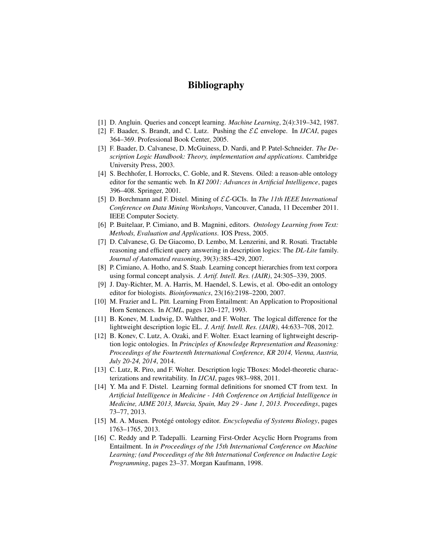# Bibliography

- [1] D. Angluin. Queries and concept learning. *Machine Learning*, 2(4):319–342, 1987.
- [2] F. Baader, S. Brandt, and C. Lutz. Pushing the  $\mathcal{EL}$  envelope. In *IJCAI*, pages 364–369. Professional Book Center, 2005.
- [3] F. Baader, D. Calvanese, D. McGuiness, D. Nardi, and P. Patel-Schneider. *The Description Logic Handbook: Theory, implementation and applications*. Cambridge University Press, 2003.
- [4] S. Bechhofer, I. Horrocks, C. Goble, and R. Stevens. Oiled: a reason-able ontology editor for the semantic web. In *KI 2001: Advances in Artificial Intelligence*, pages 396–408. Springer, 2001.
- [5] D. Borchmann and F. Distel. Mining of EL-GCIs. In *The 11th IEEE International Conference on Data Mining Workshops*, Vancouver, Canada, 11 December 2011. IEEE Computer Society.
- [6] P. Buitelaar, P. Cimiano, and B. Magnini, editors. *Ontology Learning from Text: Methods, Evaluation and Applications*. IOS Press, 2005.
- [7] D. Calvanese, G. De Giacomo, D. Lembo, M. Lenzerini, and R. Rosati. Tractable reasoning and efficient query answering in description logics: The *DL-Lite* family. *Journal of Automated reasoning*, 39(3):385–429, 2007.
- [8] P. Cimiano, A. Hotho, and S. Staab. Learning concept hierarchies from text corpora using formal concept analysis. *J. Artif. Intell. Res. (JAIR)*, 24:305–339, 2005.
- [9] J. Day-Richter, M. A. Harris, M. Haendel, S. Lewis, et al. Obo-edit an ontology editor for biologists. *Bioinformatics*, 23(16):2198–2200, 2007.
- [10] M. Frazier and L. Pitt. Learning From Entailment: An Application to Propositional Horn Sentences. In *ICML*, pages 120–127, 1993.
- [11] B. Konev, M. Ludwig, D. Walther, and F. Wolter. The logical difference for the lightweight description logic EL. *J. Artif. Intell. Res. (JAIR)*, 44:633–708, 2012.
- [12] B. Konev, C. Lutz, A. Ozaki, and F. Wolter. Exact learning of lightweight description logic ontologies. In *Principles of Knowledge Representation and Reasoning: Proceedings of the Fourteenth International Conference, KR 2014, Vienna, Austria, July 20-24, 2014*, 2014.
- [13] C. Lutz, R. Piro, and F. Wolter. Description logic TBoxes: Model-theoretic characterizations and rewritability. In *IJCAI*, pages 983–988, 2011.
- [14] Y. Ma and F. Distel. Learning formal definitions for snomed CT from text. In *Artificial Intelligence in Medicine - 14th Conference on Artificial Intelligence in Medicine, AIME 2013, Murcia, Spain, May 29 - June 1, 2013. Proceedings*, pages 73–77, 2013.
- [15] M. A. Musen. Protégé ontology editor. *Encyclopedia of Systems Biology*, pages 1763–1765, 2013.
- [16] C. Reddy and P. Tadepalli. Learning First-Order Acyclic Horn Programs from Entailment. In *in Proceedings of the 15th International Conference on Machine Learning; (and Proceedings of the 8th International Conference on Inductive Logic Programming*, pages 23–37. Morgan Kaufmann, 1998.